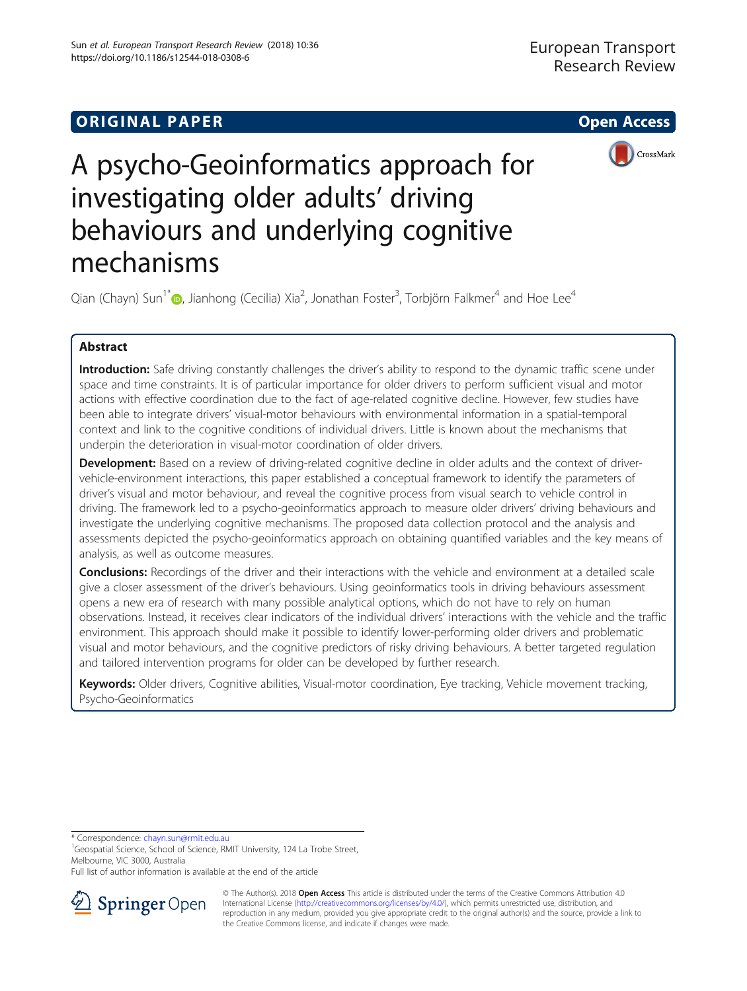

# A psycho-Geoinformatics approach for investigating older adults' driving behaviours and underlying cognitive mechanisms

Qian (Chayn) Sun<sup>1\*</sup>©, Jianhong (Cecilia) Xia<sup>2</sup>, Jonathan Foster<sup>3</sup>, Torbjörn Falkmer<sup>4</sup> and Hoe Lee<sup>4</sup>

# Abstract

Introduction: Safe driving constantly challenges the driver's ability to respond to the dynamic traffic scene under space and time constraints. It is of particular importance for older drivers to perform sufficient visual and motor actions with effective coordination due to the fact of age-related cognitive decline. However, few studies have been able to integrate drivers' visual-motor behaviours with environmental information in a spatial-temporal context and link to the cognitive conditions of individual drivers. Little is known about the mechanisms that underpin the deterioration in visual-motor coordination of older drivers.

Development: Based on a review of driving-related cognitive decline in older adults and the context of drivervehicle-environment interactions, this paper established a conceptual framework to identify the parameters of driver's visual and motor behaviour, and reveal the cognitive process from visual search to vehicle control in driving. The framework led to a psycho-geoinformatics approach to measure older drivers' driving behaviours and investigate the underlying cognitive mechanisms. The proposed data collection protocol and the analysis and assessments depicted the psycho-geoinformatics approach on obtaining quantified variables and the key means of analysis, as well as outcome measures.

Conclusions: Recordings of the driver and their interactions with the vehicle and environment at a detailed scale give a closer assessment of the driver's behaviours. Using geoinformatics tools in driving behaviours assessment opens a new era of research with many possible analytical options, which do not have to rely on human observations. Instead, it receives clear indicators of the individual drivers' interactions with the vehicle and the traffic environment. This approach should make it possible to identify lower-performing older drivers and problematic visual and motor behaviours, and the cognitive predictors of risky driving behaviours. A better targeted regulation and tailored intervention programs for older can be developed by further research.

Keywords: Older drivers, Cognitive abilities, Visual-motor coordination, Eye tracking, Vehicle movement tracking, Psycho-Geoinformatics

\* Correspondence: [chayn.sun@rmit.edu.au](mailto:chayn.sun@rmit.edu.au) <sup>1</sup>

<sup>1</sup>Geospatial Science, School of Science, RMIT University, 124 La Trobe Street, Melbourne, VIC 3000, Australia

Full list of author information is available at the end of the article



<sup>©</sup> The Author(s). 2018 Open Access This article is distributed under the terms of the Creative Commons Attribution 4.0 International License ([http://creativecommons.org/licenses/by/4.0/\)](http://creativecommons.org/licenses/by/4.0/), which permits unrestricted use, distribution, and reproduction in any medium, provided you give appropriate credit to the original author(s) and the source, provide a link to the Creative Commons license, and indicate if changes were made.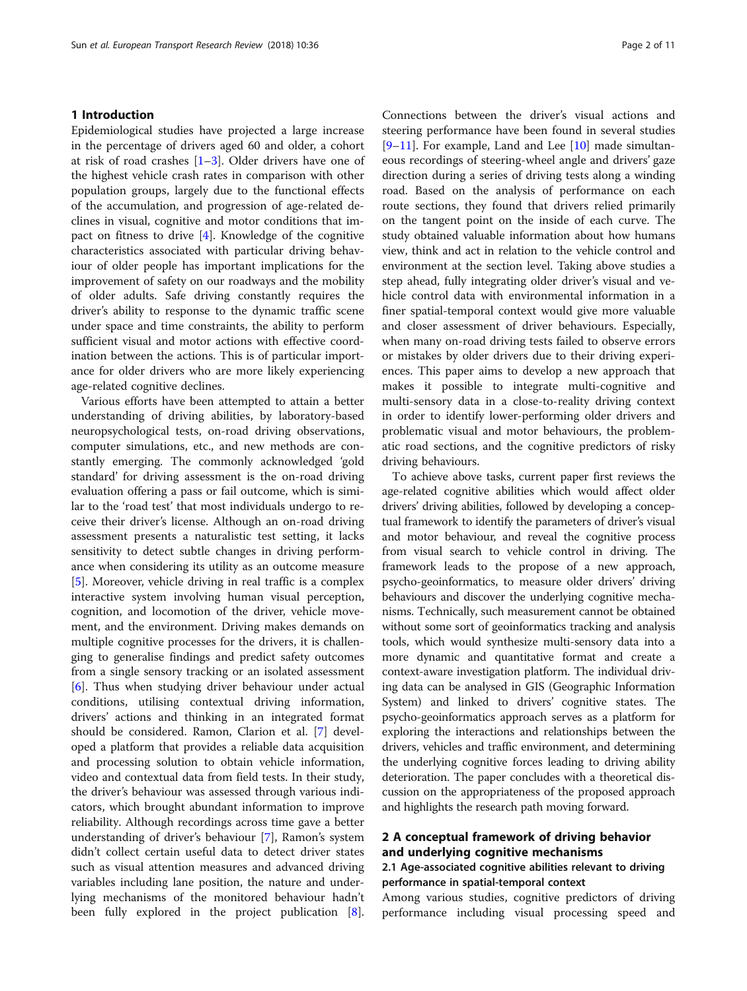## 1 Introduction

Epidemiological studies have projected a large increase in the percentage of drivers aged 60 and older, a cohort at risk of road crashes  $[1-3]$  $[1-3]$  $[1-3]$  $[1-3]$  $[1-3]$ . Older drivers have one of the highest vehicle crash rates in comparison with other population groups, largely due to the functional effects of the accumulation, and progression of age-related declines in visual, cognitive and motor conditions that impact on fitness to drive [[4\]](#page-9-0). Knowledge of the cognitive characteristics associated with particular driving behaviour of older people has important implications for the improvement of safety on our roadways and the mobility of older adults. Safe driving constantly requires the driver's ability to response to the dynamic traffic scene under space and time constraints, the ability to perform sufficient visual and motor actions with effective coordination between the actions. This is of particular importance for older drivers who are more likely experiencing age-related cognitive declines.

Various efforts have been attempted to attain a better understanding of driving abilities, by laboratory-based neuropsychological tests, on-road driving observations, computer simulations, etc., and new methods are constantly emerging. The commonly acknowledged 'gold standard' for driving assessment is the on-road driving evaluation offering a pass or fail outcome, which is similar to the 'road test' that most individuals undergo to receive their driver's license. Although an on-road driving assessment presents a naturalistic test setting, it lacks sensitivity to detect subtle changes in driving performance when considering its utility as an outcome measure [[5\]](#page-9-0). Moreover, vehicle driving in real traffic is a complex interactive system involving human visual perception, cognition, and locomotion of the driver, vehicle movement, and the environment. Driving makes demands on multiple cognitive processes for the drivers, it is challenging to generalise findings and predict safety outcomes from a single sensory tracking or an isolated assessment [[6\]](#page-9-0). Thus when studying driver behaviour under actual conditions, utilising contextual driving information, drivers' actions and thinking in an integrated format should be considered. Ramon, Clarion et al. [\[7](#page-9-0)] developed a platform that provides a reliable data acquisition and processing solution to obtain vehicle information, video and contextual data from field tests. In their study, the driver's behaviour was assessed through various indicators, which brought abundant information to improve reliability. Although recordings across time gave a better understanding of driver's behaviour [[7\]](#page-9-0), Ramon's system didn't collect certain useful data to detect driver states such as visual attention measures and advanced driving variables including lane position, the nature and underlying mechanisms of the monitored behaviour hadn't been fully explored in the project publication [\[8](#page-9-0)].

Connections between the driver's visual actions and steering performance have been found in several studies  $[9-11]$  $[9-11]$  $[9-11]$  $[9-11]$ . For example, Land and Lee  $[10]$  $[10]$  $[10]$  made simultaneous recordings of steering-wheel angle and drivers' gaze direction during a series of driving tests along a winding road. Based on the analysis of performance on each route sections, they found that drivers relied primarily on the tangent point on the inside of each curve. The study obtained valuable information about how humans view, think and act in relation to the vehicle control and environment at the section level. Taking above studies a step ahead, fully integrating older driver's visual and vehicle control data with environmental information in a finer spatial-temporal context would give more valuable and closer assessment of driver behaviours. Especially, when many on-road driving tests failed to observe errors or mistakes by older drivers due to their driving experiences. This paper aims to develop a new approach that makes it possible to integrate multi-cognitive and multi-sensory data in a close-to-reality driving context in order to identify lower-performing older drivers and problematic visual and motor behaviours, the problematic road sections, and the cognitive predictors of risky driving behaviours.

To achieve above tasks, current paper first reviews the age-related cognitive abilities which would affect older drivers' driving abilities, followed by developing a conceptual framework to identify the parameters of driver's visual and motor behaviour, and reveal the cognitive process from visual search to vehicle control in driving. The framework leads to the propose of a new approach, psycho-geoinformatics, to measure older drivers' driving behaviours and discover the underlying cognitive mechanisms. Technically, such measurement cannot be obtained without some sort of geoinformatics tracking and analysis tools, which would synthesize multi-sensory data into a more dynamic and quantitative format and create a context-aware investigation platform. The individual driving data can be analysed in GIS (Geographic Information System) and linked to drivers' cognitive states. The psycho-geoinformatics approach serves as a platform for exploring the interactions and relationships between the drivers, vehicles and traffic environment, and determining the underlying cognitive forces leading to driving ability deterioration. The paper concludes with a theoretical discussion on the appropriateness of the proposed approach and highlights the research path moving forward.

# 2 A conceptual framework of driving behavior and underlying cognitive mechanisms

## 2.1 Age-associated cognitive abilities relevant to driving performance in spatial-temporal context

Among various studies, cognitive predictors of driving performance including visual processing speed and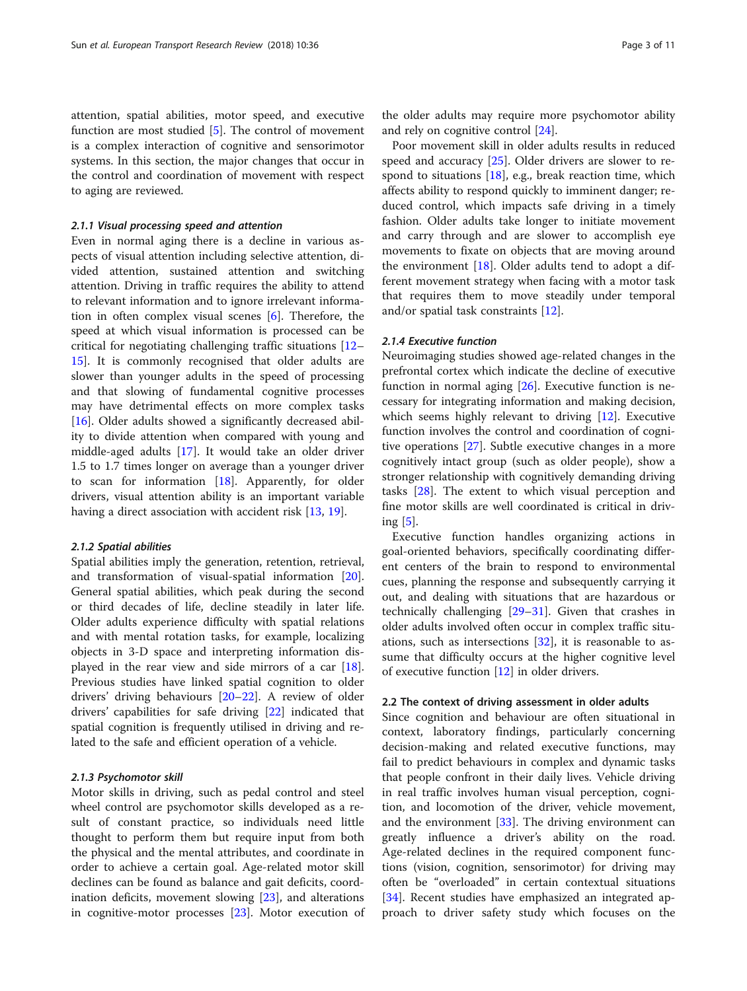attention, spatial abilities, motor speed, and executive function are most studied [[5\]](#page-9-0). The control of movement is a complex interaction of cognitive and sensorimotor systems. In this section, the major changes that occur in the control and coordination of movement with respect to aging are reviewed.

#### 2.1.1 Visual processing speed and attention

Even in normal aging there is a decline in various aspects of visual attention including selective attention, divided attention, sustained attention and switching attention. Driving in traffic requires the ability to attend to relevant information and to ignore irrelevant information in often complex visual scenes  $[6]$  $[6]$ . Therefore, the speed at which visual information is processed can be critical for negotiating challenging traffic situations [[12](#page-9-0)– [15\]](#page-9-0). It is commonly recognised that older adults are slower than younger adults in the speed of processing and that slowing of fundamental cognitive processes may have detrimental effects on more complex tasks [[16\]](#page-9-0). Older adults showed a significantly decreased ability to divide attention when compared with young and middle-aged adults [\[17\]](#page-9-0). It would take an older driver 1.5 to 1.7 times longer on average than a younger driver to scan for information  $[18]$  $[18]$ . Apparently, for older drivers, visual attention ability is an important variable having a direct association with accident risk [[13,](#page-9-0) [19](#page-9-0)].

#### 2.1.2 Spatial abilities

Spatial abilities imply the generation, retention, retrieval, and transformation of visual-spatial information [\[20](#page-9-0)]. General spatial abilities, which peak during the second or third decades of life, decline steadily in later life. Older adults experience difficulty with spatial relations and with mental rotation tasks, for example, localizing objects in 3-D space and interpreting information displayed in the rear view and side mirrors of a car [\[18](#page-9-0)]. Previous studies have linked spatial cognition to older drivers' driving behaviours [\[20](#page-9-0)–[22\]](#page-10-0). A review of older drivers' capabilities for safe driving [\[22](#page-10-0)] indicated that spatial cognition is frequently utilised in driving and related to the safe and efficient operation of a vehicle.

## 2.1.3 Psychomotor skill

Motor skills in driving, such as pedal control and steel wheel control are psychomotor skills developed as a result of constant practice, so individuals need little thought to perform them but require input from both the physical and the mental attributes, and coordinate in order to achieve a certain goal. Age-related motor skill declines can be found as balance and gait deficits, coordination deficits, movement slowing [[23\]](#page-10-0), and alterations in cognitive-motor processes [[23\]](#page-10-0). Motor execution of

the older adults may require more psychomotor ability and rely on cognitive control [[24](#page-10-0)].

Poor movement skill in older adults results in reduced speed and accuracy  $[25]$  $[25]$ . Older drivers are slower to respond to situations [\[18](#page-9-0)], e.g., break reaction time, which affects ability to respond quickly to imminent danger; reduced control, which impacts safe driving in a timely fashion. Older adults take longer to initiate movement and carry through and are slower to accomplish eye movements to fixate on objects that are moving around the environment  $[18]$  $[18]$  $[18]$ . Older adults tend to adopt a different movement strategy when facing with a motor task that requires them to move steadily under temporal and/or spatial task constraints [\[12](#page-9-0)].

## 2.1.4 Executive function

Neuroimaging studies showed age-related changes in the prefrontal cortex which indicate the decline of executive function in normal aging  $[26]$  $[26]$ . Executive function is necessary for integrating information and making decision, which seems highly relevant to driving [[12](#page-9-0)]. Executive function involves the control and coordination of cognitive operations [\[27](#page-10-0)]. Subtle executive changes in a more cognitively intact group (such as older people), show a stronger relationship with cognitively demanding driving tasks [\[28\]](#page-10-0). The extent to which visual perception and fine motor skills are well coordinated is critical in driving [\[5](#page-9-0)].

Executive function handles organizing actions in goal-oriented behaviors, specifically coordinating different centers of the brain to respond to environmental cues, planning the response and subsequently carrying it out, and dealing with situations that are hazardous or technically challenging  $[29-31]$  $[29-31]$  $[29-31]$  $[29-31]$  $[29-31]$ . Given that crashes in older adults involved often occur in complex traffic situations, such as intersections [[32\]](#page-10-0), it is reasonable to assume that difficulty occurs at the higher cognitive level of executive function [\[12\]](#page-9-0) in older drivers.

#### 2.2 The context of driving assessment in older adults

Since cognition and behaviour are often situational in context, laboratory findings, particularly concerning decision-making and related executive functions, may fail to predict behaviours in complex and dynamic tasks that people confront in their daily lives. Vehicle driving in real traffic involves human visual perception, cognition, and locomotion of the driver, vehicle movement, and the environment [\[33](#page-10-0)]. The driving environment can greatly influence a driver's ability on the road. Age-related declines in the required component functions (vision, cognition, sensorimotor) for driving may often be "overloaded" in certain contextual situations [[34\]](#page-10-0). Recent studies have emphasized an integrated approach to driver safety study which focuses on the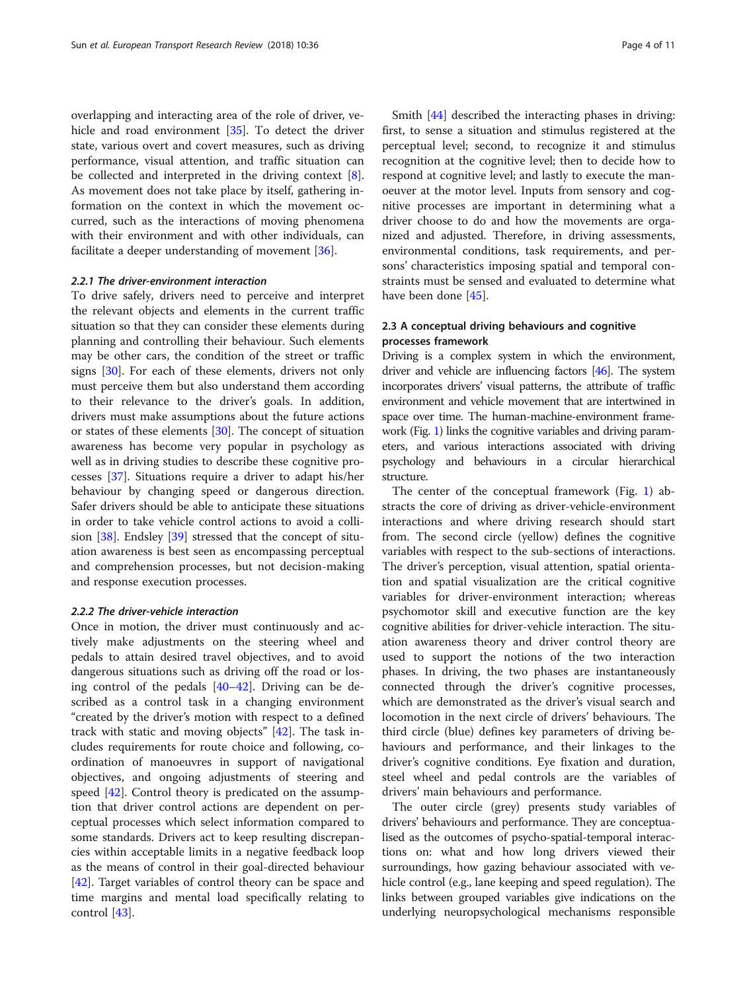overlapping and interacting area of the role of driver, vehicle and road environment [\[35](#page-10-0)]. To detect the driver state, various overt and covert measures, such as driving performance, visual attention, and traffic situation can be collected and interpreted in the driving context [\[8](#page-9-0)]. As movement does not take place by itself, gathering information on the context in which the movement occurred, such as the interactions of moving phenomena with their environment and with other individuals, can facilitate a deeper understanding of movement [[36\]](#page-10-0).

## 2.2.1 The driver-environment interaction

To drive safely, drivers need to perceive and interpret the relevant objects and elements in the current traffic situation so that they can consider these elements during planning and controlling their behaviour. Such elements may be other cars, the condition of the street or traffic signs [\[30\]](#page-10-0). For each of these elements, drivers not only must perceive them but also understand them according to their relevance to the driver's goals. In addition, drivers must make assumptions about the future actions or states of these elements [[30](#page-10-0)]. The concept of situation awareness has become very popular in psychology as well as in driving studies to describe these cognitive processes [[37](#page-10-0)]. Situations require a driver to adapt his/her behaviour by changing speed or dangerous direction. Safer drivers should be able to anticipate these situations in order to take vehicle control actions to avoid a collision [\[38](#page-10-0)]. Endsley [[39\]](#page-10-0) stressed that the concept of situation awareness is best seen as encompassing perceptual and comprehension processes, but not decision-making and response execution processes.

#### 2.2.2 The driver-vehicle interaction

Once in motion, the driver must continuously and actively make adjustments on the steering wheel and pedals to attain desired travel objectives, and to avoid dangerous situations such as driving off the road or losing control of the pedals [[40](#page-10-0)–[42](#page-10-0)]. Driving can be described as a control task in a changing environment "created by the driver's motion with respect to a defined track with static and moving objects" [\[42\]](#page-10-0). The task includes requirements for route choice and following, coordination of manoeuvres in support of navigational objectives, and ongoing adjustments of steering and speed [\[42](#page-10-0)]. Control theory is predicated on the assumption that driver control actions are dependent on perceptual processes which select information compared to some standards. Drivers act to keep resulting discrepancies within acceptable limits in a negative feedback loop as the means of control in their goal-directed behaviour [[42\]](#page-10-0). Target variables of control theory can be space and time margins and mental load specifically relating to control [\[43](#page-10-0)].

Smith [[44](#page-10-0)] described the interacting phases in driving: first, to sense a situation and stimulus registered at the perceptual level; second, to recognize it and stimulus recognition at the cognitive level; then to decide how to respond at cognitive level; and lastly to execute the manoeuver at the motor level. Inputs from sensory and cognitive processes are important in determining what a driver choose to do and how the movements are organized and adjusted. Therefore, in driving assessments, environmental conditions, task requirements, and persons' characteristics imposing spatial and temporal constraints must be sensed and evaluated to determine what have been done [[45](#page-10-0)].

## 2.3 A conceptual driving behaviours and cognitive processes framework

Driving is a complex system in which the environment, driver and vehicle are influencing factors [\[46](#page-10-0)]. The system incorporates drivers' visual patterns, the attribute of traffic environment and vehicle movement that are intertwined in space over time. The human-machine-environment framework (Fig. [1](#page-4-0)) links the cognitive variables and driving parameters, and various interactions associated with driving psychology and behaviours in a circular hierarchical structure.

The center of the conceptual framework (Fig. [1\)](#page-4-0) abstracts the core of driving as driver-vehicle-environment interactions and where driving research should start from. The second circle (yellow) defines the cognitive variables with respect to the sub-sections of interactions. The driver's perception, visual attention, spatial orientation and spatial visualization are the critical cognitive variables for driver-environment interaction; whereas psychomotor skill and executive function are the key cognitive abilities for driver-vehicle interaction. The situation awareness theory and driver control theory are used to support the notions of the two interaction phases. In driving, the two phases are instantaneously connected through the driver's cognitive processes, which are demonstrated as the driver's visual search and locomotion in the next circle of drivers' behaviours. The third circle (blue) defines key parameters of driving behaviours and performance, and their linkages to the driver's cognitive conditions. Eye fixation and duration, steel wheel and pedal controls are the variables of drivers' main behaviours and performance.

The outer circle (grey) presents study variables of drivers' behaviours and performance. They are conceptualised as the outcomes of psycho-spatial-temporal interactions on: what and how long drivers viewed their surroundings, how gazing behaviour associated with vehicle control (e.g., lane keeping and speed regulation). The links between grouped variables give indications on the underlying neuropsychological mechanisms responsible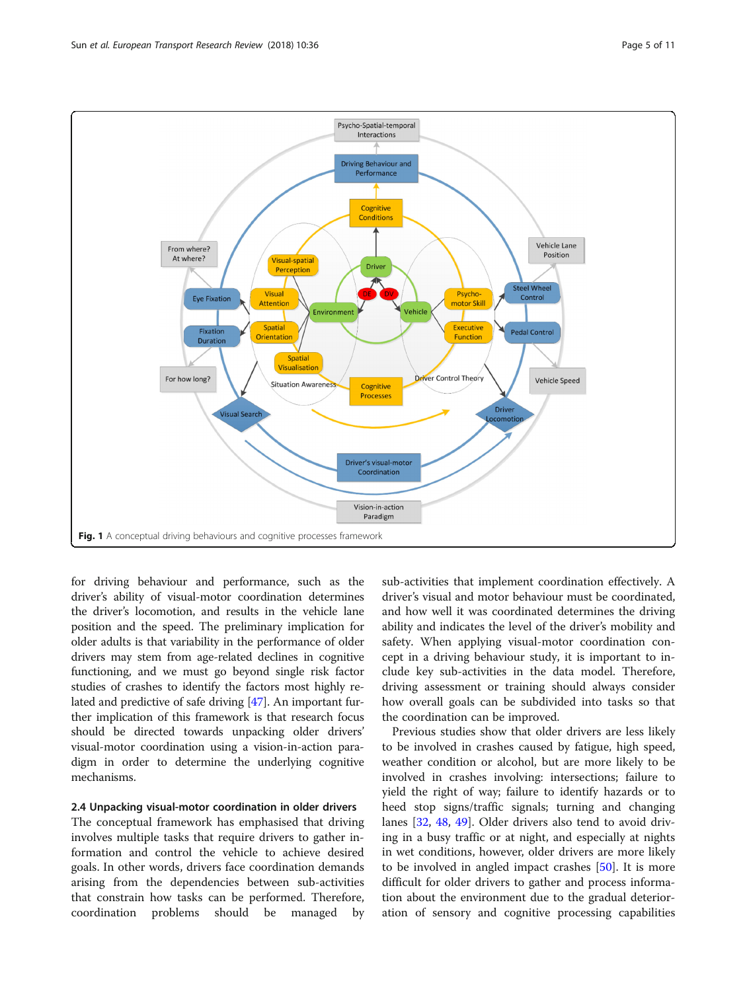<span id="page-4-0"></span>

for driving behaviour and performance, such as the driver's ability of visual-motor coordination determines the driver's locomotion, and results in the vehicle lane position and the speed. The preliminary implication for older adults is that variability in the performance of older drivers may stem from age-related declines in cognitive functioning, and we must go beyond single risk factor studies of crashes to identify the factors most highly related and predictive of safe driving [\[47\]](#page-10-0). An important further implication of this framework is that research focus should be directed towards unpacking older drivers' visual-motor coordination using a vision-in-action paradigm in order to determine the underlying cognitive mechanisms.

## 2.4 Unpacking visual-motor coordination in older drivers

The conceptual framework has emphasised that driving involves multiple tasks that require drivers to gather information and control the vehicle to achieve desired goals. In other words, drivers face coordination demands arising from the dependencies between sub-activities that constrain how tasks can be performed. Therefore, coordination problems should be managed by sub-activities that implement coordination effectively. A driver's visual and motor behaviour must be coordinated, and how well it was coordinated determines the driving ability and indicates the level of the driver's mobility and safety. When applying visual-motor coordination concept in a driving behaviour study, it is important to include key sub-activities in the data model. Therefore, driving assessment or training should always consider how overall goals can be subdivided into tasks so that the coordination can be improved.

Previous studies show that older drivers are less likely to be involved in crashes caused by fatigue, high speed, weather condition or alcohol, but are more likely to be involved in crashes involving: intersections; failure to yield the right of way; failure to identify hazards or to heed stop signs/traffic signals; turning and changing lanes [\[32,](#page-10-0) [48](#page-10-0), [49](#page-10-0)]. Older drivers also tend to avoid driving in a busy traffic or at night, and especially at nights in wet conditions, however, older drivers are more likely to be involved in angled impact crashes [\[50](#page-10-0)]. It is more difficult for older drivers to gather and process information about the environment due to the gradual deterioration of sensory and cognitive processing capabilities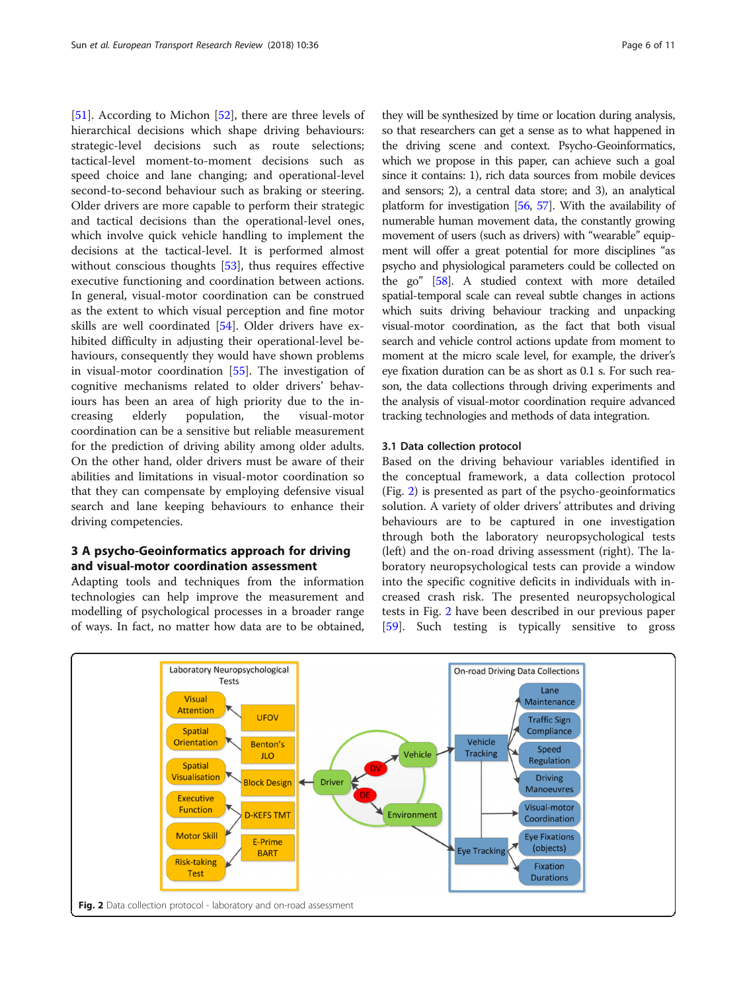[[51\]](#page-10-0). According to Michon [\[52\]](#page-10-0), there are three levels of hierarchical decisions which shape driving behaviours: strategic-level decisions such as route selections; tactical-level moment-to-moment decisions such as speed choice and lane changing; and operational-level second-to-second behaviour such as braking or steering. Older drivers are more capable to perform their strategic and tactical decisions than the operational-level ones, which involve quick vehicle handling to implement the decisions at the tactical-level. It is performed almost without conscious thoughts [\[53](#page-10-0)], thus requires effective executive functioning and coordination between actions. In general, visual-motor coordination can be construed as the extent to which visual perception and fine motor skills are well coordinated [\[54\]](#page-10-0). Older drivers have exhibited difficulty in adjusting their operational-level behaviours, consequently they would have shown problems in visual-motor coordination [[55\]](#page-10-0). The investigation of cognitive mechanisms related to older drivers' behaviours has been an area of high priority due to the increasing elderly population, the visual-motor coordination can be a sensitive but reliable measurement for the prediction of driving ability among older adults. On the other hand, older drivers must be aware of their abilities and limitations in visual-motor coordination so that they can compensate by employing defensive visual search and lane keeping behaviours to enhance their driving competencies.

## 3 A psycho-Geoinformatics approach for driving and visual-motor coordination assessment

Adapting tools and techniques from the information technologies can help improve the measurement and modelling of psychological processes in a broader range of ways. In fact, no matter how data are to be obtained, they will be synthesized by time or location during analysis,

so that researchers can get a sense as to what happened in the driving scene and context. Psycho-Geoinformatics, which we propose in this paper, can achieve such a goal since it contains: 1), rich data sources from mobile devices and sensors; 2), a central data store; and 3), an analytical platform for investigation [\[56](#page-10-0), [57\]](#page-10-0). With the availability of numerable human movement data, the constantly growing movement of users (such as drivers) with "wearable" equipment will offer a great potential for more disciplines "as psycho and physiological parameters could be collected on the go" [[58\]](#page-10-0). A studied context with more detailed spatial-temporal scale can reveal subtle changes in actions which suits driving behaviour tracking and unpacking visual-motor coordination, as the fact that both visual search and vehicle control actions update from moment to moment at the micro scale level, for example, the driver's eye fixation duration can be as short as 0.1 s. For such reason, the data collections through driving experiments and the analysis of visual-motor coordination require advanced tracking technologies and methods of data integration.

## 3.1 Data collection protocol

Based on the driving behaviour variables identified in the conceptual framework, a data collection protocol (Fig. 2) is presented as part of the psycho-geoinformatics solution. A variety of older drivers' attributes and driving behaviours are to be captured in one investigation through both the laboratory neuropsychological tests (left) and the on-road driving assessment (right). The laboratory neuropsychological tests can provide a window into the specific cognitive deficits in individuals with increased crash risk. The presented neuropsychological tests in Fig. 2 have been described in our previous paper [[59\]](#page-10-0). Such testing is typically sensitive to gross

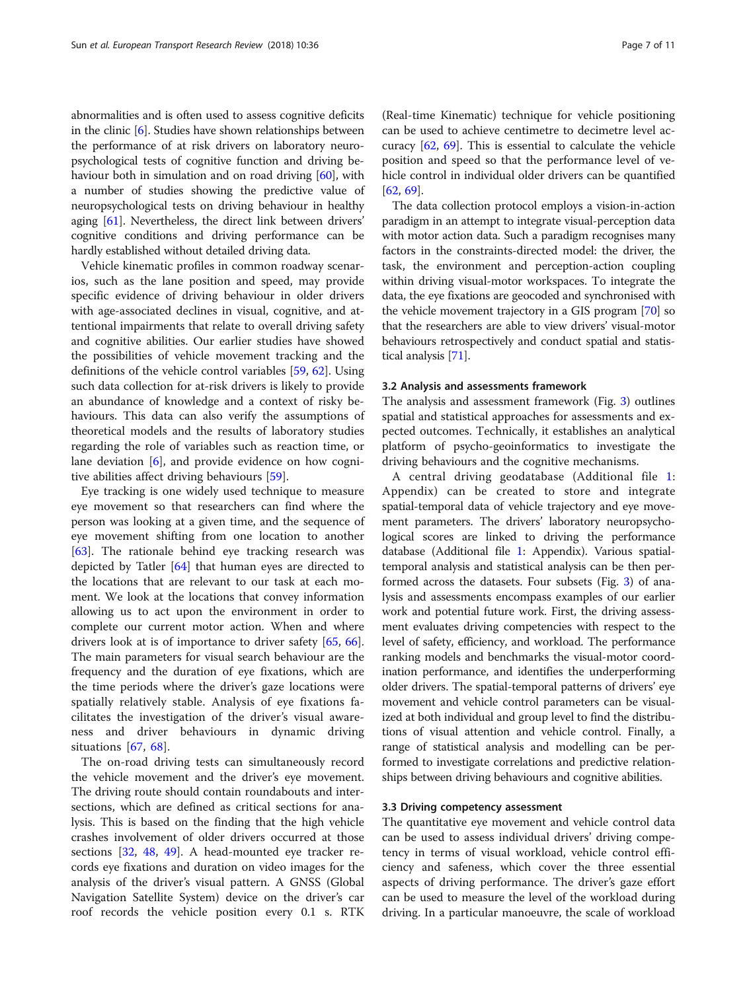abnormalities and is often used to assess cognitive deficits in the clinic  $[6]$  $[6]$ . Studies have shown relationships between the performance of at risk drivers on laboratory neuropsychological tests of cognitive function and driving behaviour both in simulation and on road driving [\[60\]](#page-10-0), with a number of studies showing the predictive value of neuropsychological tests on driving behaviour in healthy aging [\[61\]](#page-10-0). Nevertheless, the direct link between drivers' cognitive conditions and driving performance can be hardly established without detailed driving data.

Vehicle kinematic profiles in common roadway scenarios, such as the lane position and speed, may provide specific evidence of driving behaviour in older drivers with age-associated declines in visual, cognitive, and attentional impairments that relate to overall driving safety and cognitive abilities. Our earlier studies have showed the possibilities of vehicle movement tracking and the definitions of the vehicle control variables [\[59,](#page-10-0) [62\]](#page-10-0). Using such data collection for at-risk drivers is likely to provide an abundance of knowledge and a context of risky behaviours. This data can also verify the assumptions of theoretical models and the results of laboratory studies regarding the role of variables such as reaction time, or lane deviation  $[6]$  $[6]$ , and provide evidence on how cognitive abilities affect driving behaviours [\[59](#page-10-0)].

Eye tracking is one widely used technique to measure eye movement so that researchers can find where the person was looking at a given time, and the sequence of eye movement shifting from one location to another [[63\]](#page-10-0). The rationale behind eye tracking research was depicted by Tatler [\[64\]](#page-10-0) that human eyes are directed to the locations that are relevant to our task at each moment. We look at the locations that convey information allowing us to act upon the environment in order to complete our current motor action. When and where drivers look at is of importance to driver safety [[65,](#page-10-0) [66](#page-10-0)]. The main parameters for visual search behaviour are the frequency and the duration of eye fixations, which are the time periods where the driver's gaze locations were spatially relatively stable. Analysis of eye fixations facilitates the investigation of the driver's visual awareness and driver behaviours in dynamic driving situations [[67](#page-10-0), [68](#page-10-0)].

The on-road driving tests can simultaneously record the vehicle movement and the driver's eye movement. The driving route should contain roundabouts and intersections, which are defined as critical sections for analysis. This is based on the finding that the high vehicle crashes involvement of older drivers occurred at those sections [\[32](#page-10-0), [48](#page-10-0), [49\]](#page-10-0). A head-mounted eye tracker records eye fixations and duration on video images for the analysis of the driver's visual pattern. A GNSS (Global Navigation Satellite System) device on the driver's car roof records the vehicle position every 0.1 s. RTK

(Real-time Kinematic) technique for vehicle positioning can be used to achieve centimetre to decimetre level accuracy [\[62,](#page-10-0) [69\]](#page-10-0). This is essential to calculate the vehicle position and speed so that the performance level of vehicle control in individual older drivers can be quantified [[62,](#page-10-0) [69\]](#page-10-0).

The data collection protocol employs a vision-in-action paradigm in an attempt to integrate visual-perception data with motor action data. Such a paradigm recognises many factors in the constraints-directed model: the driver, the task, the environment and perception-action coupling within driving visual-motor workspaces. To integrate the data, the eye fixations are geocoded and synchronised with the vehicle movement trajectory in a GIS program [\[70\]](#page-10-0) so that the researchers are able to view drivers' visual-motor behaviours retrospectively and conduct spatial and statistical analysis [\[71\]](#page-10-0).

## 3.2 Analysis and assessments framework

The analysis and assessment framework (Fig. [3\)](#page-7-0) outlines spatial and statistical approaches for assessments and expected outcomes. Technically, it establishes an analytical platform of psycho-geoinformatics to investigate the driving behaviours and the cognitive mechanisms.

A central driving geodatabase (Additional file [1](#page-9-0): Appendix) can be created to store and integrate spatial-temporal data of vehicle trajectory and eye movement parameters. The drivers' laboratory neuropsychological scores are linked to driving the performance database (Additional file [1:](#page-9-0) Appendix). Various spatialtemporal analysis and statistical analysis can be then performed across the datasets. Four subsets (Fig. [3](#page-7-0)) of analysis and assessments encompass examples of our earlier work and potential future work. First, the driving assessment evaluates driving competencies with respect to the level of safety, efficiency, and workload. The performance ranking models and benchmarks the visual-motor coordination performance, and identifies the underperforming older drivers. The spatial-temporal patterns of drivers' eye movement and vehicle control parameters can be visualized at both individual and group level to find the distributions of visual attention and vehicle control. Finally, a range of statistical analysis and modelling can be performed to investigate correlations and predictive relationships between driving behaviours and cognitive abilities.

## 3.3 Driving competency assessment

The quantitative eye movement and vehicle control data can be used to assess individual drivers' driving competency in terms of visual workload, vehicle control efficiency and safeness, which cover the three essential aspects of driving performance. The driver's gaze effort can be used to measure the level of the workload during driving. In a particular manoeuvre, the scale of workload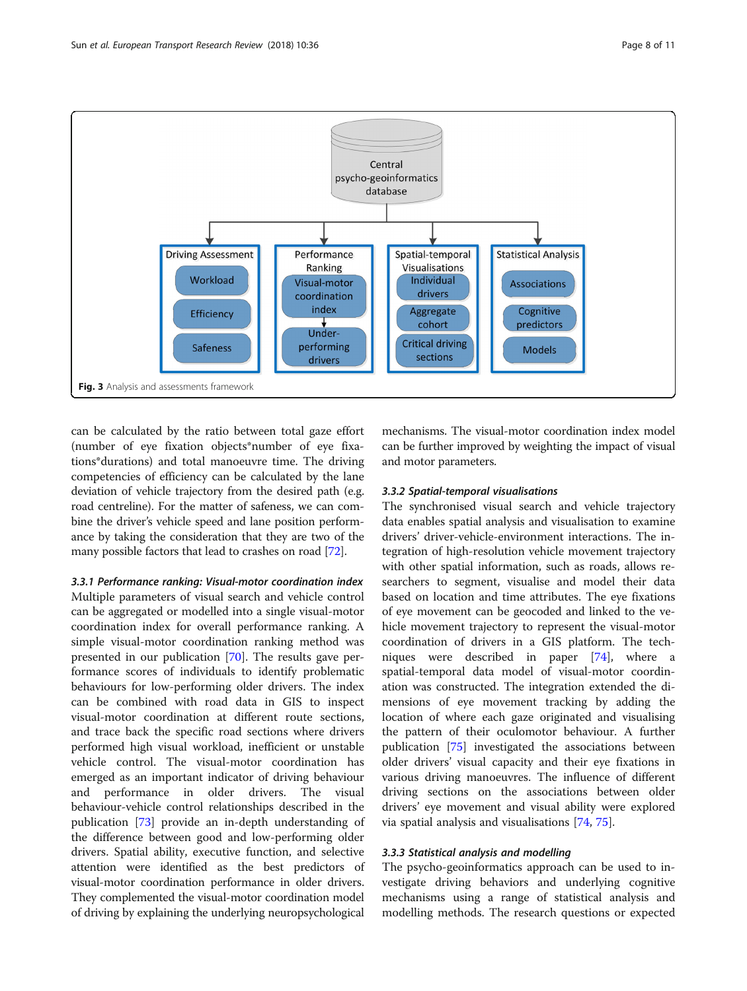<span id="page-7-0"></span>

can be calculated by the ratio between total gaze effort (number of eye fixation objects\*number of eye fixations\*durations) and total manoeuvre time. The driving competencies of efficiency can be calculated by the lane deviation of vehicle trajectory from the desired path (e.g. road centreline). For the matter of safeness, we can combine the driver's vehicle speed and lane position performance by taking the consideration that they are two of the many possible factors that lead to crashes on road [[72](#page-10-0)].

3.3.1 Performance ranking: Visual-motor coordination index Multiple parameters of visual search and vehicle control can be aggregated or modelled into a single visual-motor coordination index for overall performance ranking. A simple visual-motor coordination ranking method was presented in our publication [[70](#page-10-0)]. The results gave performance scores of individuals to identify problematic behaviours for low-performing older drivers. The index can be combined with road data in GIS to inspect visual-motor coordination at different route sections, and trace back the specific road sections where drivers performed high visual workload, inefficient or unstable vehicle control. The visual-motor coordination has emerged as an important indicator of driving behaviour and performance in older drivers. The visual behaviour-vehicle control relationships described in the publication [[73](#page-10-0)] provide an in-depth understanding of the difference between good and low-performing older drivers. Spatial ability, executive function, and selective attention were identified as the best predictors of visual-motor coordination performance in older drivers. They complemented the visual-motor coordination model of driving by explaining the underlying neuropsychological

mechanisms. The visual-motor coordination index model can be further improved by weighting the impact of visual and motor parameters.

## 3.3.2 Spatial-temporal visualisations

The synchronised visual search and vehicle trajectory data enables spatial analysis and visualisation to examine drivers' driver-vehicle-environment interactions. The integration of high-resolution vehicle movement trajectory with other spatial information, such as roads, allows researchers to segment, visualise and model their data based on location and time attributes. The eye fixations of eye movement can be geocoded and linked to the vehicle movement trajectory to represent the visual-motor coordination of drivers in a GIS platform. The techniques were described in paper [\[74\]](#page-10-0), where a spatial-temporal data model of visual-motor coordination was constructed. The integration extended the dimensions of eye movement tracking by adding the location of where each gaze originated and visualising the pattern of their oculomotor behaviour. A further publication [\[75](#page-10-0)] investigated the associations between older drivers' visual capacity and their eye fixations in various driving manoeuvres. The influence of different driving sections on the associations between older drivers' eye movement and visual ability were explored via spatial analysis and visualisations [\[74](#page-10-0), [75](#page-10-0)].

## 3.3.3 Statistical analysis and modelling

The psycho-geoinformatics approach can be used to investigate driving behaviors and underlying cognitive mechanisms using a range of statistical analysis and modelling methods. The research questions or expected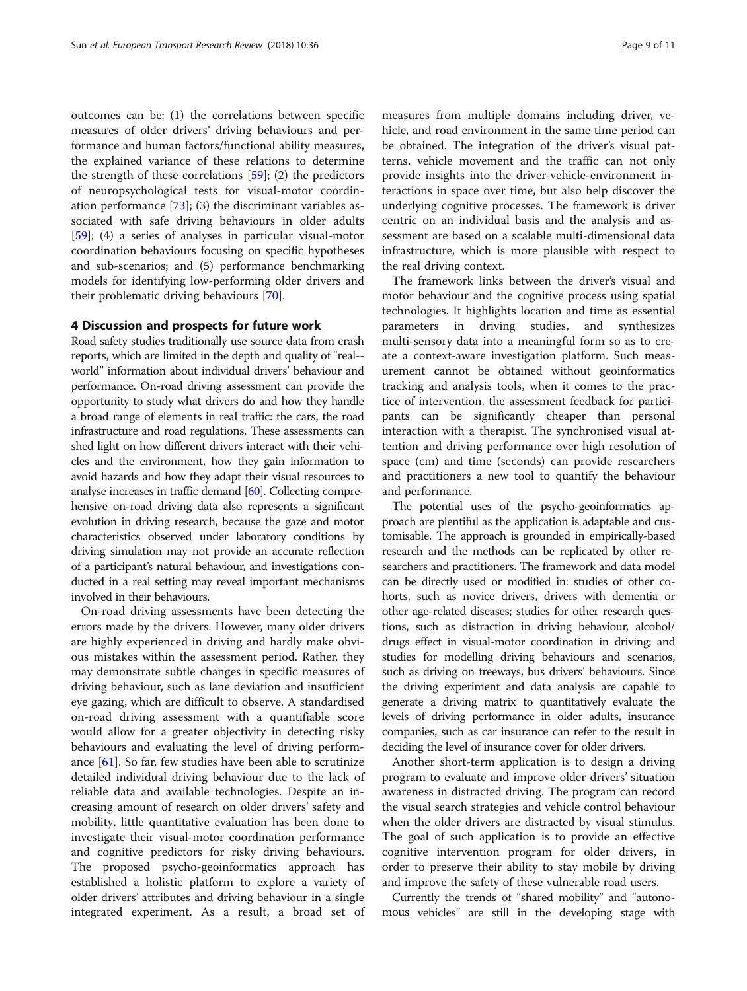outcomes can be: (1) the correlations between specific measures of older drivers' driving behaviours and performance and human factors/functional ability measures, the explained variance of these relations to determine the strength of these correlations [\[59](#page-10-0)]; (2) the predictors of neuropsychological tests for visual-motor coordination performance [\[73\]](#page-10-0); (3) the discriminant variables associated with safe driving behaviours in older adults [[59\]](#page-10-0); (4) a series of analyses in particular visual-motor coordination behaviours focusing on specific hypotheses and sub-scenarios; and (5) performance benchmarking models for identifying low-performing older drivers and their problematic driving behaviours [\[70](#page-10-0)].

## 4 Discussion and prospects for future work

Road safety studies traditionally use source data from crash reports, which are limited in the depth and quality of "real- world" information about individual drivers' behaviour and performance. On-road driving assessment can provide the opportunity to study what drivers do and how they handle a broad range of elements in real traffic: the cars, the road infrastructure and road regulations. These assessments can shed light on how different drivers interact with their vehicles and the environment, how they gain information to avoid hazards and how they adapt their visual resources to analyse increases in traffic demand [[60](#page-10-0)]. Collecting comprehensive on-road driving data also represents a significant evolution in driving research, because the gaze and motor characteristics observed under laboratory conditions by driving simulation may not provide an accurate reflection of a participant's natural behaviour, and investigations conducted in a real setting may reveal important mechanisms involved in their behaviours.

On-road driving assessments have been detecting the errors made by the drivers. However, many older drivers are highly experienced in driving and hardly make obvious mistakes within the assessment period. Rather, they may demonstrate subtle changes in specific measures of driving behaviour, such as lane deviation and insufficient eye gazing, which are difficult to observe. A standardised on-road driving assessment with a quantifiable score would allow for a greater objectivity in detecting risky behaviours and evaluating the level of driving performance [\[61](#page-10-0)]. So far, few studies have been able to scrutinize detailed individual driving behaviour due to the lack of reliable data and available technologies. Despite an increasing amount of research on older drivers' safety and mobility, little quantitative evaluation has been done to investigate their visual-motor coordination performance and cognitive predictors for risky driving behaviours. The proposed psycho-geoinformatics approach has established a holistic platform to explore a variety of older drivers' attributes and driving behaviour in a single integrated experiment. As a result, a broad set of

measures from multiple domains including driver, vehicle, and road environment in the same time period can be obtained. The integration of the driver's visual patterns, vehicle movement and the traffic can not only provide insights into the driver-vehicle-environment interactions in space over time, but also help discover the underlying cognitive processes. The framework is driver centric on an individual basis and the analysis and assessment are based on a scalable multi-dimensional data infrastructure, which is more plausible with respect to the real driving context.

The framework links between the driver's visual and motor behaviour and the cognitive process using spatial technologies. It highlights location and time as essential parameters in driving studies, and synthesizes multi-sensory data into a meaningful form so as to create a context-aware investigation platform. Such measurement cannot be obtained without geoinformatics tracking and analysis tools, when it comes to the practice of intervention, the assessment feedback for participants can be significantly cheaper than personal interaction with a therapist. The synchronised visual attention and driving performance over high resolution of space (cm) and time (seconds) can provide researchers and practitioners a new tool to quantify the behaviour and performance.

The potential uses of the psycho-geoinformatics approach are plentiful as the application is adaptable and customisable. The approach is grounded in empirically-based research and the methods can be replicated by other researchers and practitioners. The framework and data model can be directly used or modified in: studies of other cohorts, such as novice drivers, drivers with dementia or other age-related diseases; studies for other research questions, such as distraction in driving behaviour, alcohol/ drugs effect in visual-motor coordination in driving; and studies for modelling driving behaviours and scenarios, such as driving on freeways, bus drivers' behaviours. Since the driving experiment and data analysis are capable to generate a driving matrix to quantitatively evaluate the levels of driving performance in older adults, insurance companies, such as car insurance can refer to the result in deciding the level of insurance cover for older drivers.

Another short-term application is to design a driving program to evaluate and improve older drivers' situation awareness in distracted driving. The program can record the visual search strategies and vehicle control behaviour when the older drivers are distracted by visual stimulus. The goal of such application is to provide an effective cognitive intervention program for older drivers, in order to preserve their ability to stay mobile by driving and improve the safety of these vulnerable road users.

Currently the trends of "shared mobility" and "autonomous vehicles" are still in the developing stage with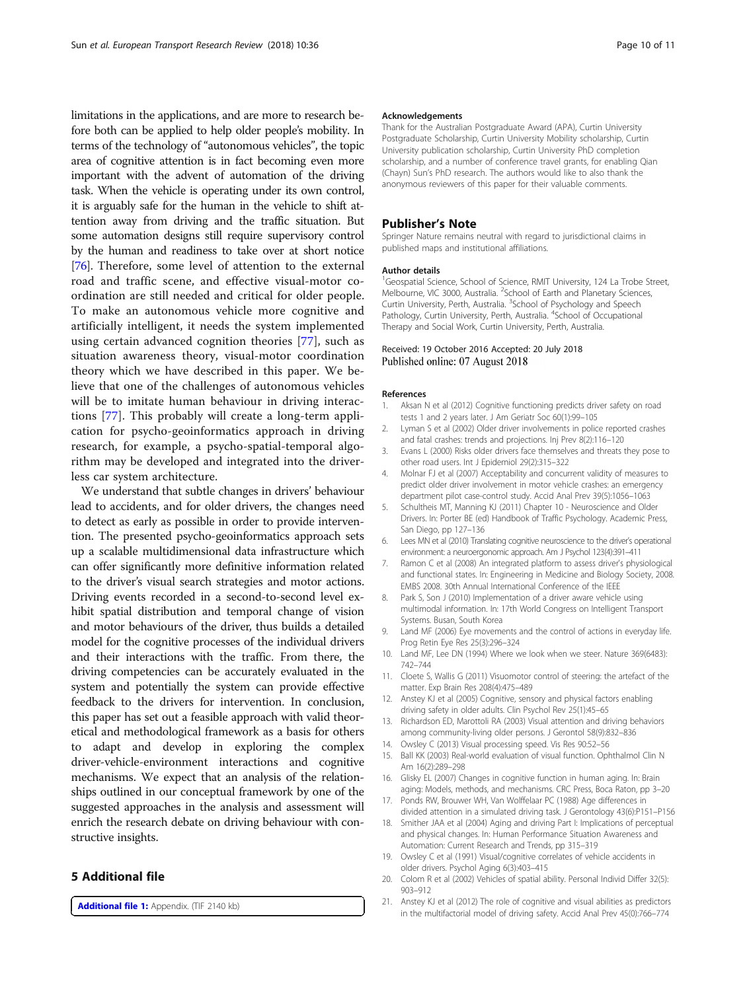<span id="page-9-0"></span>limitations in the applications, and are more to research before both can be applied to help older people's mobility. In terms of the technology of "autonomous vehicles", the topic area of cognitive attention is in fact becoming even more important with the advent of automation of the driving task. When the vehicle is operating under its own control, it is arguably safe for the human in the vehicle to shift attention away from driving and the traffic situation. But some automation designs still require supervisory control by the human and readiness to take over at short notice [[76](#page-10-0)]. Therefore, some level of attention to the external road and traffic scene, and effective visual-motor coordination are still needed and critical for older people. To make an autonomous vehicle more cognitive and artificially intelligent, it needs the system implemented using certain advanced cognition theories [\[77](#page-10-0)], such as situation awareness theory, visual-motor coordination theory which we have described in this paper. We believe that one of the challenges of autonomous vehicles will be to imitate human behaviour in driving interactions [\[77](#page-10-0)]. This probably will create a long-term application for psycho-geoinformatics approach in driving research, for example, a psycho-spatial-temporal algorithm may be developed and integrated into the driverless car system architecture.

We understand that subtle changes in drivers' behaviour lead to accidents, and for older drivers, the changes need to detect as early as possible in order to provide intervention. The presented psycho-geoinformatics approach sets up a scalable multidimensional data infrastructure which can offer significantly more definitive information related to the driver's visual search strategies and motor actions. Driving events recorded in a second-to-second level exhibit spatial distribution and temporal change of vision and motor behaviours of the driver, thus builds a detailed model for the cognitive processes of the individual drivers and their interactions with the traffic. From there, the driving competencies can be accurately evaluated in the system and potentially the system can provide effective feedback to the drivers for intervention. In conclusion, this paper has set out a feasible approach with valid theoretical and methodological framework as a basis for others to adapt and develop in exploring the complex driver-vehicle-environment interactions and cognitive mechanisms. We expect that an analysis of the relationships outlined in our conceptual framework by one of the suggested approaches in the analysis and assessment will enrich the research debate on driving behaviour with constructive insights.

## 5 Additional file

[Additional file 1:](https://doi.org/10.1186/s12544-018-0308-6) Appendix. (TIF 2140 kb)

#### Acknowledgements

Thank for the Australian Postgraduate Award (APA), Curtin University Postgraduate Scholarship, Curtin University Mobility scholarship, Curtin University publication scholarship, Curtin University PhD completion scholarship, and a number of conference travel grants, for enabling Qian (Chayn) Sun's PhD research. The authors would like to also thank the anonymous reviewers of this paper for their valuable comments.

## Publisher's Note

Springer Nature remains neutral with regard to jurisdictional claims in published maps and institutional affiliations.

#### Author details

<sup>1</sup>Geospatial Science, School of Science, RMIT University, 124 La Trobe Street Melbourne, VIC 3000, Australia. <sup>2</sup>School of Earth and Planetary Sciences, Curtin University, Perth, Australia. <sup>3</sup>School of Psychology and Speech Pathology, Curtin University, Perth, Australia. <sup>4</sup>School of Occupational Therapy and Social Work, Curtin University, Perth, Australia.

## Received: 19 October 2016 Accepted: 20 July 2018 Published online: 07 August 2018

#### References

- 1. Aksan N et al (2012) Cognitive functioning predicts driver safety on road tests 1 and 2 years later. J Am Geriatr Soc 60(1):99–105
- 2. Lyman S et al (2002) Older driver involvements in police reported crashes and fatal crashes: trends and projections. Inj Prev 8(2):116–120
- 3. Evans L (2000) Risks older drivers face themselves and threats they pose to other road users. Int J Epidemiol 29(2):315–322
- 4. Molnar FJ et al (2007) Acceptability and concurrent validity of measures to predict older driver involvement in motor vehicle crashes: an emergency department pilot case-control study. Accid Anal Prev 39(5):1056–1063
- 5. Schultheis MT, Manning KJ (2011) Chapter 10 Neuroscience and Older Drivers. In: Porter BE (ed) Handbook of Traffic Psychology. Academic Press, San Diego, pp 127–136
- 6. Lees MN et al (2010) Translating cognitive neuroscience to the driver's operational environment: a neuroergonomic approach. Am J Psychol 123(4):391–411
- 7. Ramon C et al (2008) An integrated platform to assess driver's physiological and functional states. In: Engineering in Medicine and Biology Society, 2008. EMBS 2008. 30th Annual International Conference of the IEEE
- 8. Park S, Son J (2010) Implementation of a driver aware vehicle using multimodal information. In: 17th World Congress on Intelligent Transport Systems. Busan, South Korea
- 9. Land MF (2006) Eye movements and the control of actions in everyday life. Prog Retin Eye Res 25(3):296–324
- 10. Land MF, Lee DN (1994) Where we look when we steer. Nature 369(6483): 742–744
- 11. Cloete S, Wallis G (2011) Visuomotor control of steering: the artefact of the matter. Exp Brain Res 208(4):475–489
- 12. Anstey KJ et al (2005) Cognitive, sensory and physical factors enabling driving safety in older adults. Clin Psychol Rev 25(1):45–65
- 13. Richardson ED, Marottoli RA (2003) Visual attention and driving behaviors among community-living older persons. J Gerontol 58(9):832–836
- 14. Owsley C (2013) Visual processing speed. Vis Res 90:52–56
- 15. Ball KK (2003) Real-world evaluation of visual function. Ophthalmol Clin N Am 16(2):289–298
- 16. Glisky EL (2007) Changes in cognitive function in human aging. In: Brain aging: Models, methods, and mechanisms. CRC Press, Boca Raton, pp 3–20 17. Ponds RW, Brouwer WH, Van Wolffelaar PC (1988) Age differences in
- divided attention in a simulated driving task. J Gerontology 43(6):P151–P156 18. Smither JAA et al (2004) Aging and driving Part I: Implications of perceptual
- and physical changes. In: Human Performance Situation Awareness and Automation: Current Research and Trends, pp 315–319
- 19. Owsley C et al (1991) Visual/cognitive correlates of vehicle accidents in older drivers. Psychol Aging 6(3):403–415
- 20. Colom R et al (2002) Vehicles of spatial ability. Personal Individ Differ 32(5): 903–912
- 21. Anstey KJ et al (2012) The role of cognitive and visual abilities as predictors in the multifactorial model of driving safety. Accid Anal Prev 45(0):766–774